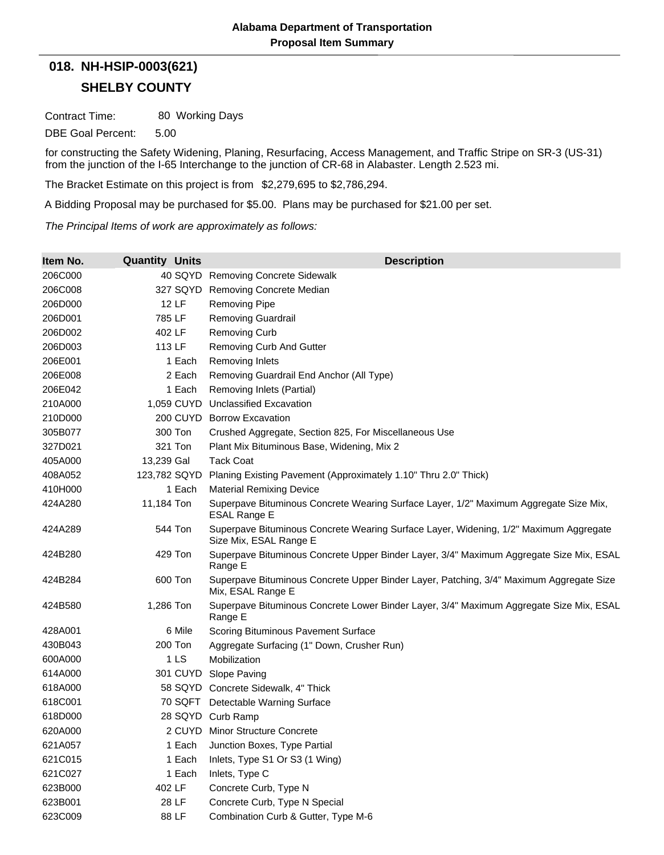## **SHELBY COUNTY 018. NH-HSIP-0003(621)**

Contract Time: 80 Working Days

DBE Goal Percent: 5.00

for constructing the Safety Widening, Planing, Resurfacing, Access Management, and Traffic Stripe on SR-3 (US-31) from the junction of the I-65 Interchange to the junction of CR-68 in Alabaster. Length 2.523 mi.

The Bracket Estimate on this project is from \$2,279,695 to \$2,786,294.

A Bidding Proposal may be purchased for \$5.00. Plans may be purchased for \$21.00 per set.

*The Principal Items of work are approximately as follows:*

| Item No. | <b>Quantity Units</b> | <b>Description</b>                                                                                              |
|----------|-----------------------|-----------------------------------------------------------------------------------------------------------------|
| 206C000  |                       | 40 SQYD Removing Concrete Sidewalk                                                                              |
| 206C008  | 327 SQYD              | Removing Concrete Median                                                                                        |
| 206D000  | 12 LF                 | Removing Pipe                                                                                                   |
| 206D001  | 785 LF                | <b>Removing Guardrail</b>                                                                                       |
| 206D002  | 402 LF                | <b>Removing Curb</b>                                                                                            |
| 206D003  | 113 LF                | Removing Curb And Gutter                                                                                        |
| 206E001  | 1 Each                | <b>Removing Inlets</b>                                                                                          |
| 206E008  | 2 Each                | Removing Guardrail End Anchor (All Type)                                                                        |
| 206E042  | 1 Each                | Removing Inlets (Partial)                                                                                       |
| 210A000  |                       | 1,059 CUYD Unclassified Excavation                                                                              |
| 210D000  | <b>200 CUYD</b>       | <b>Borrow Excavation</b>                                                                                        |
| 305B077  | 300 Ton               | Crushed Aggregate, Section 825, For Miscellaneous Use                                                           |
| 327D021  | 321 Ton               | Plant Mix Bituminous Base, Widening, Mix 2                                                                      |
| 405A000  | 13,239 Gal            | <b>Tack Coat</b>                                                                                                |
| 408A052  | 123,782 SQYD          | Planing Existing Pavement (Approximately 1.10" Thru 2.0" Thick)                                                 |
| 410H000  | 1 Each                | <b>Material Remixing Device</b>                                                                                 |
| 424A280  | 11,184 Ton            | Superpave Bituminous Concrete Wearing Surface Layer, 1/2" Maximum Aggregate Size Mix,<br><b>ESAL Range E</b>    |
| 424A289  | 544 Ton               | Superpave Bituminous Concrete Wearing Surface Layer, Widening, 1/2" Maximum Aggregate<br>Size Mix, ESAL Range E |
| 424B280  | 429 Ton               | Superpave Bituminous Concrete Upper Binder Layer, 3/4" Maximum Aggregate Size Mix, ESAL<br>Range E              |
| 424B284  | 600 Ton               | Superpave Bituminous Concrete Upper Binder Layer, Patching, 3/4" Maximum Aggregate Size<br>Mix, ESAL Range E    |
| 424B580  | 1,286 Ton             | Superpave Bituminous Concrete Lower Binder Layer, 3/4" Maximum Aggregate Size Mix, ESAL<br>Range E              |
| 428A001  | 6 Mile                | Scoring Bituminous Pavement Surface                                                                             |
| 430B043  | 200 Ton               | Aggregate Surfacing (1" Down, Crusher Run)                                                                      |
| 600A000  | 1LS                   | Mobilization                                                                                                    |
| 614A000  |                       | 301 CUYD Slope Paving                                                                                           |
| 618A000  |                       | 58 SQYD Concrete Sidewalk, 4" Thick                                                                             |
| 618C001  |                       | 70 SQFT Detectable Warning Surface                                                                              |
| 618D000  |                       | 28 SQYD Curb Ramp                                                                                               |
| 620A000  |                       | 2 CUYD Minor Structure Concrete                                                                                 |
| 621A057  | 1 Each                | Junction Boxes, Type Partial                                                                                    |
| 621C015  | 1 Each                | Inlets, Type S1 Or S3 (1 Wing)                                                                                  |
| 621C027  | 1 Each                | Inlets, Type C                                                                                                  |
| 623B000  | 402 LF                | Concrete Curb, Type N                                                                                           |
| 623B001  | 28 LF                 | Concrete Curb, Type N Special                                                                                   |
| 623C009  | 88 LF                 | Combination Curb & Gutter, Type M-6                                                                             |